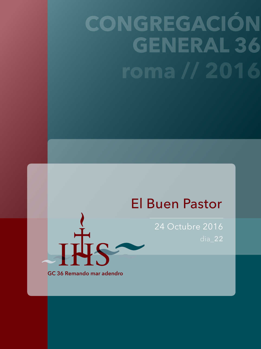## **CONGREGACIÓN GENERAL 36 roma // 2016**

## El Buen Pastor

24 Octubre 2016 dia\_**22**

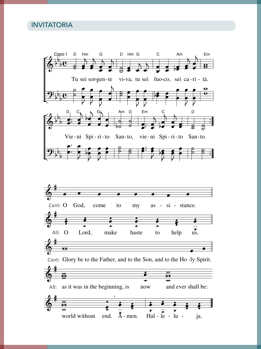#### INVITATORIA

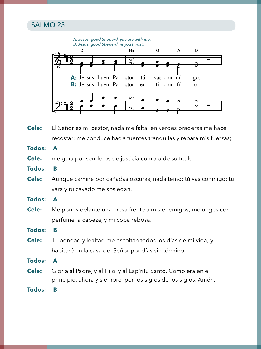#### SALMO 23



**Cele:** El Señor es mi pastor, nada me falta: en verdes praderas me hace recostar; me conduce hacia fuentes tranquilas y repara mis fuerzas;

**Todos: A**

- **Cele:** me guía por senderos de justicia como pide su título.
- **Todos: B**
- **Cele:** Aunque camine por cañadas oscuras, nada temo: tú vas conmigo; tu vara y tu cayado me sosiegan.

**Todos: A**

**Cele:** Me pones delante una mesa frente a mis enemigos; me unges con perfume la cabeza, y mi copa rebosa.

**Todos: B**

**Cele:** Tu bondad y lealtad me escoltan todos los días de mi vida; y habitaré en la casa del Señor por días sin término.

**Todos: A**

**Cele:** Gloria al Padre, y al Hijo, y al Espíritu Santo. Como era en el principio, ahora y siempre, por los siglos de los siglos. Amén.

**Todos: B**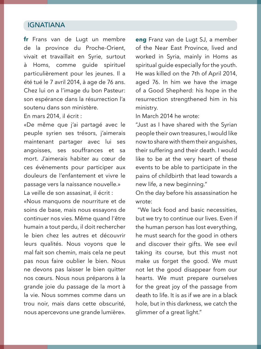#### IGNATIANA

**fr** Frans van de Lugt un membre de la province du Proche-Orient, vivait et travaillait en Syrie, surtout à Homs, comme guide spirituel particulièrement pour les jeunes. Il a été tué le 7 avril 2014, à age de 76 ans. Chez lui on a l'image du bon Pasteur: son espérance dans la résurrection l'a soutenu dans son ministère.

En mars 2014, il écrit :

«De même que j'ai partagé avec le peuple syrien ses trésors, j'aimerais maintenant partager avec lui ses angoisses, ses souffrances et sa mort. J'aimerais habiter au cœur de ces évènements pour participer aux douleurs de l'enfantement et vivre le passage vers la naissance nouvelle.» La veille de son assasinat, il écrit :

«Nous manquons de nourriture et de soins de base, mais nous essayons de continuer nos vies. Même quand l'être humain a tout perdu, il doit rechercher le bien chez les autres et découvrir leurs qualités. Nous voyons que le mal fait son chemin, mais cela ne peut pas nous faire oublier le bien. Nous ne devons pas laisser le bien quitter nos cœurs. Nous nous préparons à la grande joie du passage de la mort à la vie. Nous sommes comme dans un trou noir, mais dans cette obscurité, nous apercevons une grande lumière».

**eng** Franz van de Lugt SJ, a member of the Near East Province, lived and worked in Syria, mainly in Homs as spiritual guide especially for the youth. He was killed on the 7th of April 2014, aged 76. In him we have the image of a Good Shepherd: his hope in the resurrection strengthened him in his ministry.

In March 2014 he wrote:

"Just as I have shared with the Syrian people their own treasures, I would like now to share with them their anguishes, their suffering and their death. I would like to be at the very heart of these events to be able to participate in the pains of childbirth that lead towards a new life, a new beginning."

On the day before his assassination he wrote:

 "We lack food and basic necessities, but we try to continue our lives. Even if the human person has lost everything, he must search for the good in others and discover their gifts. We see evil taking its course, but this must not make us forget the good. We must not let the good disappear from our hearts. We must prepare ourselves for the great joy of the passage from death to life. It is as if we are in a black hole, but in this darkness, we catch the glimmer of a great light."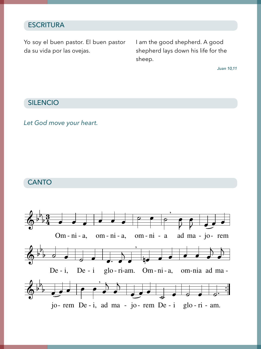## ESCRITURA

ilian nastor. El buan nastor a su vida por las ovejas.<br>. Yo soy el buen pastor. El buen pastor da su vida por las ovejas.

el buen pastor. El buen pastor lam the good shepherd. A good sheep.<br>sheep. rays down his me for the shepherd lays down his life for the

ra *Juan 10,11*

#### SILENCIO

## *Let God move your heart.*

#### **CANTO**

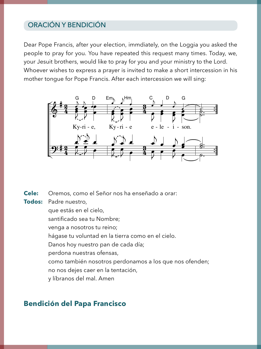#### ORACIÓN Y BENDICIÓN

Dear Pope Francis, after your election, immdiately, on the Loggia you asked the people to pray for you. You have repeated this request many times. Today, we, your Jesuit brothers, would like to pray for you and your ministry to the Lord. Whoever wishes to express a prayer is invited to make a short intercession in his mother tongue for Pope Francis. After each intercession we will sing:



**Cele:** Oremos, como el Señor nos ha enseñado a orar:

**Todos:** Padre nuestro,

- que estás en el cielo,
- santificado sea tu Nombre;
- venga a nosotros tu reino;
- hágase tu voluntad en la tierra como en el cielo.
- Danos hoy nuestro pan de cada día;
- perdona nuestras ofensas,
- como también nosotros perdonamos a los que nos ofenden;
- no nos dejes caer en la tentación,
- y líbranos del mal. Amen

#### **Bendición del Papa Francisco**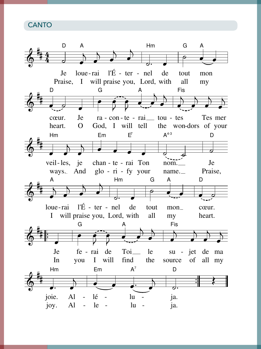**CANTO**